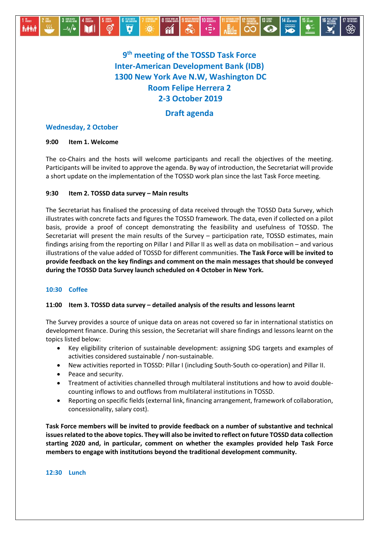

# **9 th meeting of the TOSSD Task Force Inter-American Development Bank (IDB) 1300 New York Ave N.W, Washington DC Room Felipe Herrera 2 2-3 October 2019**

# **Draft agenda**

# **Wednesday, 2 October**

### **9:00 Item 1. Welcome**

The co-Chairs and the hosts will welcome participants and recall the objectives of the meeting. Participants will be invited to approve the agenda. By way of introduction, the Secretariat will provide a short update on the implementation of the TOSSD work plan since the last Task Force meeting.

## **9:30 Item 2. TOSSD data survey – Main results**

The Secretariat has finalised the processing of data received through the TOSSD Data Survey, which illustrates with concrete facts and figures the TOSSD framework. The data, even if collected on a pilot basis, provide a proof of concept demonstrating the feasibility and usefulness of TOSSD. The Secretariat will present the main results of the Survey – participation rate, TOSSD estimates, main findings arising from the reporting on Pillar I and Pillar II as well as data on mobilisation – and various illustrations of the value added of TOSSD for different communities. **The Task Force will be invited to provide feedback on the key findings and comment on the main messages that should be conveyed during the TOSSD Data Survey launch scheduled on 4 October in New York.**

# **10:30 Coffee**

### **11:00 Item 3. TOSSD data survey – detailed analysis of the results and lessons learnt**

The Survey provides a source of unique data on areas not covered so far in international statistics on development finance. During this session, the Secretariat will share findings and lessons learnt on the topics listed below:

- Key eligibility criterion of sustainable development: assigning SDG targets and examples of activities considered sustainable / non-sustainable.
- New activities reported in TOSSD: Pillar I (including South-South co-operation) and Pillar II.
- Peace and security.
- Treatment of activities channelled through multilateral institutions and how to avoid doublecounting inflows to and outflows from multilateral institutions in TOSSD.
- Reporting on specific fields (external link, financing arrangement, framework of collaboration, concessionality, salary cost).

**Task Force members will be invited to provide feedback on a number of substantive and technical issuesrelated to the above topics. They will also be invited to reflect on future TOSSD data collection starting 2020 and, in particular, comment on whether the examples provided help Task Force members to engage with institutions beyond the traditional development community.**

### **12:30 Lunch**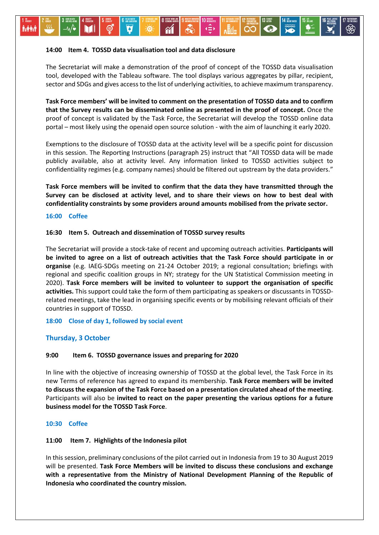#### **14:00 Item 4. TOSSD data visualisation tool and data disclosure**

The Secretariat will make a demonstration of the proof of concept of the TOSSD data visualisation tool, developed with the Tableau software. The tool displays various aggregates by pillar, recipient, sector and SDGs and gives access to the list of underlying activities, to achieve maximum transparency.

 $\overline{\mathbf{0}}$ 

**Task Force members' will be invited to comment on the presentation of TOSSD data and to confirm that the Survey results can be disseminated online as presented in the proof of concept.** Once the proof of concept is validated by the Task Force, the Secretariat will develop the TOSSD online data portal – most likely using the openaid open source solution - with the aim of launching it early 2020.

Exemptions to the disclosure of TOSSD data at the activity level will be a specific point for discussion in this session. The Reporting Instructions (paragraph 25) instruct that "All TOSSD data will be made publicly available, also at activity level. Any information linked to TOSSD activities subject to confidentiality regimes (e.g. company names) should be filtered out upstream by the data providers."

**Task Force members will be invited to confirm that the data they have transmitted through the Survey can be disclosed at activity level, and to share their views on how to best deal with confidentiality constraints by some providers around amounts mobilised from the private sector.**

#### **16:00 Coffee**

#### **16:30 Item 5. Outreach and dissemination of TOSSD survey results**

The Secretariat will provide a stock-take of recent and upcoming outreach activities. **Participants will be invited to agree on a list of outreach activities that the Task Force should participate in or organise** (e.g. IAEG-SDGs meeting on 21-24 October 2019; a regional consultation; briefings with regional and specific coalition groups in NY; strategy for the UN Statistical Commission meeting in 2020). **Task Force members will be invited to volunteer to support the organisation of specific activities.** This support could take the form of them participating as speakers or discussants in TOSSDrelated meetings, take the lead in organising specific events or by mobilising relevant officials of their countries in support of TOSSD.

**18:00 Close of day 1, followed by social event** 

#### **Thursday, 3 October**

#### **9:00 Item 6. TOSSD governance issues and preparing for 2020**

In line with the objective of increasing ownership of TOSSD at the global level, the Task Force in its new Terms of reference has agreed to expand its membership. **Task Force members will be invited to discuss the expansion of the Task Force based on a presentation circulated ahead of the meeting**. Participants will also be **invited to react on the paper presenting the various options for a future business model for the TOSSD Task Force**.

#### **10:30 Coffee**

#### **11:00 Item 7. Highlights of the Indonesia pilot**

In this session, preliminary conclusions of the pilot carried out in Indonesia from 19 to 30 August 2019 will be presented. **Task Force Members will be invited to discuss these conclusions and exchange with a representative from the Ministry of National Development Planning of the Republic of Indonesia who coordinated the country mission.**